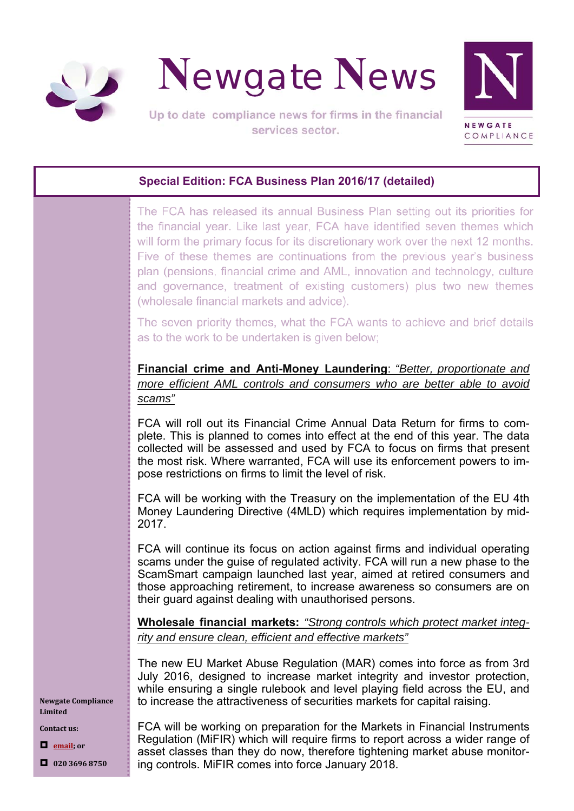



# **Special Edition: FCA Business Plan 2016/17 (detailed)**

The FCA has released its annual Business Plan setting out its priorities for the financial year. Like last year, FCA have identified seven themes which will form the primary focus for its discretionary work over the next 12 months. Five of these themes are continuations from the previous year's business plan (pensions, financial crime and AML, innovation and technology, culture and governance, treatment of existing customers) plus two new themes (wholesale financial markets and advice).

The seven priority themes, what the FCA wants to achieve and brief details as to the work to be undertaken is given below:

**Financial crime and Anti-Money Laundering**: *"Better, proportionate and more efficient AML controls and consumers who are better able to avoid scams"*

FCA will roll out its Financial Crime Annual Data Return for firms to complete. This is planned to comes into effect at the end of this year. The data collected will be assessed and used by FCA to focus on firms that present the most risk. Where warranted, FCA will use its enforcement powers to impose restrictions on firms to limit the level of risk.

FCA will be working with the Treasury on the implementation of the EU 4th Money Laundering Directive (4MLD) which requires implementation by mid-2017.

FCA will continue its focus on action against firms and individual operating scams under the guise of regulated activity. FCA will run a new phase to the ScamSmart campaign launched last year, aimed at retired consumers and those approaching retirement, to increase awareness so consumers are on their guard against dealing with unauthorised persons.

**Wholesale financial markets:** *"Strong controls which protect market integrity and ensure clean, efficient and effective markets"*

The new EU Market Abuse Regulation (MAR) comes into force as from 3rd July 2016, designed to increase market integrity and investor protection, while ensuring a single rulebook and level playing field across the EU, and to increase the attractiveness of securities markets for capital raising.

FCA will be working on preparation for the Markets in Financial Instruments Regulation (MiFIR) which will require firms to report across a wider range of asset classes than they do now, therefore tightening market abuse monitoring controls. MiFIR comes into force January 2018.

**Newgate Compliance Limited**

**Contact us:**

**email; or**

**020 3696 8750**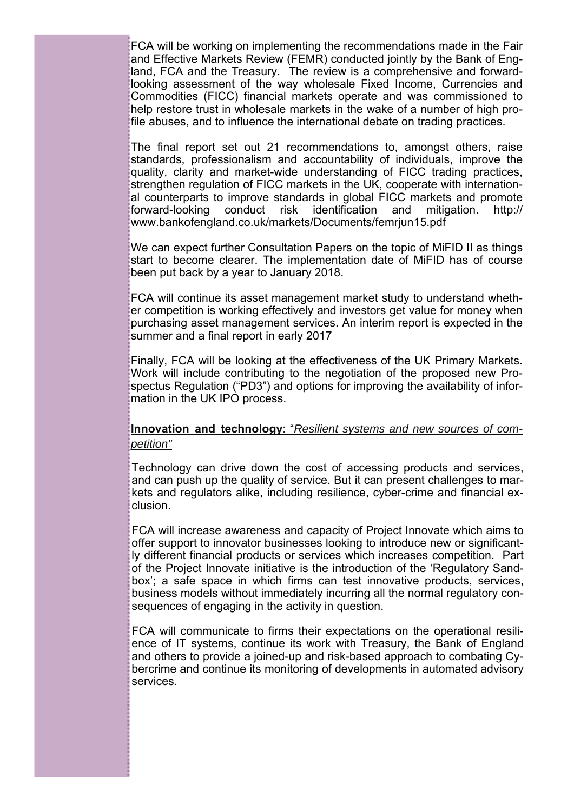FCA will be working on implementing the recommendations made in the Fair and Effective Markets Review (FEMR) conducted jointly by the Bank of England, FCA and the Treasury. The review is a comprehensive and forwardlooking assessment of the way wholesale Fixed Income, Currencies and Commodities (FICC) financial markets operate and was commissioned to help restore trust in wholesale markets in the wake of a number of high profile abuses, and to influence the international debate on trading practices.

The final report set out 21 recommendations to, amongst others, raise standards, professionalism and accountability of individuals, improve the quality, clarity and market-wide understanding of FICC trading practices, strengthen regulation of FICC markets in the UK, cooperate with international counterparts to improve standards in global FICC markets and promote forward-looking conduct risk identification and mitigation. http:// www.bankofengland.co.uk/markets/Documents/femrjun15.pdf

We can expect further Consultation Papers on the topic of MiFID II as things start to become clearer. The implementation date of MiFID has of course been put back by a year to January 2018.

FCA will continue its asset management market study to understand whether competition is working effectively and investors get value for money when purchasing asset management services. An interim report is expected in the summer and a final report in early 2017

Finally, FCA will be looking at the effectiveness of the UK Primary Markets. Work will include contributing to the negotiation of the proposed new Prospectus Regulation ("PD3") and options for improving the availability of information in the UK IPO process.

## **Innovation and technology**: "*Resilient systems and new sources of competition"*

Technology can drive down the cost of accessing products and services, and can push up the quality of service. But it can present challenges to markets and regulators alike, including resilience, cyber-crime and financial exclusion.

FCA will increase awareness and capacity of Project Innovate which aims to offer support to innovator businesses looking to introduce new or significantly different financial products or services which increases competition. Part of the Project Innovate initiative is the introduction of the 'Regulatory Sandbox'; a safe space in which firms can test innovative products, services, business models without immediately incurring all the normal regulatory consequences of engaging in the activity in question.

FCA will communicate to firms their expectations on the operational resilience of IT systems, continue its work with Treasury, the Bank of England and others to provide a joined-up and risk-based approach to combating Cybercrime and continue its monitoring of developments in automated advisory services.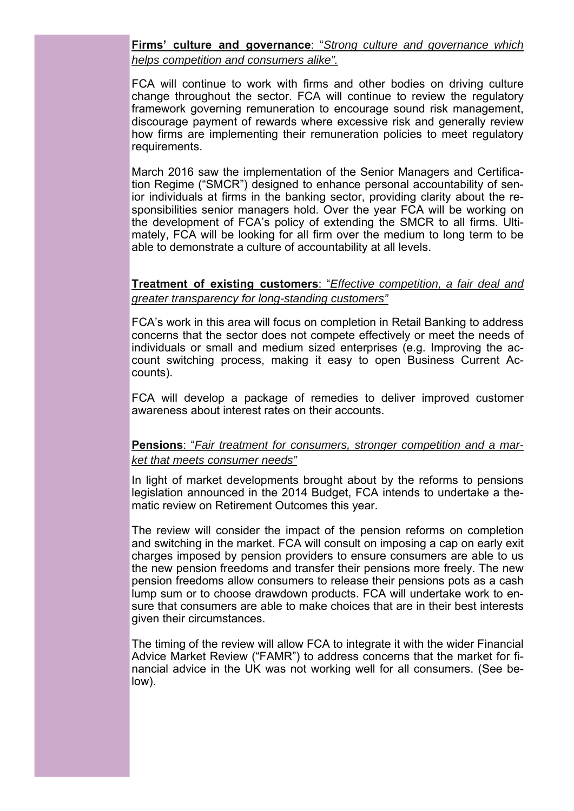## **Firms' culture and governance**: "*Strong culture and governance which helps competition and consumers alike".*

FCA will continue to work with firms and other bodies on driving culture change throughout the sector. FCA will continue to review the regulatory framework governing remuneration to encourage sound risk management, discourage payment of rewards where excessive risk and generally review how firms are implementing their remuneration policies to meet regulatory requirements.

March 2016 saw the implementation of the Senior Managers and Certification Regime ("SMCR") designed to enhance personal accountability of senior individuals at firms in the banking sector, providing clarity about the responsibilities senior managers hold. Over the year FCA will be working on the development of FCA's policy of extending the SMCR to all firms. Ultimately, FCA will be looking for all firm over the medium to long term to be able to demonstrate a culture of accountability at all levels.

### **Treatment of existing customers**: "*Effective competition, a fair deal and greater transparency for long-standing customers"*

FCA's work in this area will focus on completion in Retail Banking to address concerns that the sector does not compete effectively or meet the needs of individuals or small and medium sized enterprises (e.g. Improving the account switching process, making it easy to open Business Current Accounts).

FCA will develop a package of remedies to deliver improved customer awareness about interest rates on their accounts.

### **Pensions**: "*Fair treatment for consumers, stronger competition and a market that meets consumer needs"*

In light of market developments brought about by the reforms to pensions legislation announced in the 2014 Budget, FCA intends to undertake a thematic review on Retirement Outcomes this year.

The review will consider the impact of the pension reforms on completion and switching in the market. FCA will consult on imposing a cap on early exit charges imposed by pension providers to ensure consumers are able to us the new pension freedoms and transfer their pensions more freely. The new pension freedoms allow consumers to release their pensions pots as a cash lump sum or to choose drawdown products. FCA will undertake work to ensure that consumers are able to make choices that are in their best interests given their circumstances.

The timing of the review will allow FCA to integrate it with the wider Financial Advice Market Review ("FAMR") to address concerns that the market for financial advice in the UK was not working well for all consumers. (See below).